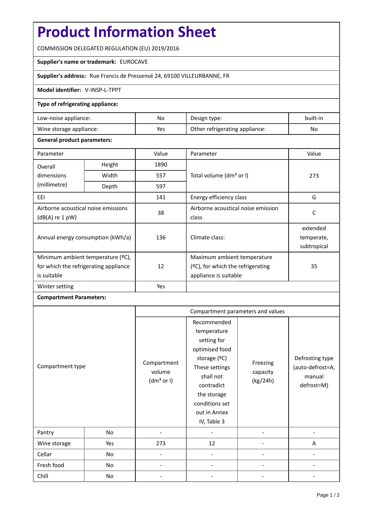# **Product Information Sheet**

COMMISSION DELEGATED REGULATION (EU) 2019/2016

#### **Supplier's name or trademark:** EUROCAVE

### **Supplier's address:** Rue Francis de Pressensé 24, 69100 VILLEURBANNE, FR

#### **Model identifier:** V-INSP-L-TPPT

#### **Type of refrigerating appliance:**

| Low-noise appliance:    | No  | Design type:                   | built-in |
|-------------------------|-----|--------------------------------|----------|
| Wine storage appliance: | Yes | Other refrigerating appliance: | No       |

#### **General product parameters:**

| Parameter                                                |                | Value | Parameter                           | Value       |  |
|----------------------------------------------------------|----------------|-------|-------------------------------------|-------------|--|
| Overall                                                  | Height<br>1890 |       |                                     |             |  |
| dimensions<br>(millimetre)                               | Width          | 557   | Total volume (dm <sup>3</sup> or I) | 273         |  |
|                                                          | Depth          | 597   |                                     |             |  |
| EEI                                                      |                | 141   | Energy efficiency class             | G           |  |
| Airborne acoustical noise emissions<br>$(dB(A)$ re 1 pW) |                | 38    | Airborne acoustical noise emission  | C           |  |
|                                                          |                |       | class                               |             |  |
| Annual energy consumption (kWh/a)                        |                | 136   | Climate class:                      | extended    |  |
|                                                          |                |       |                                     | temperate,  |  |
|                                                          |                |       |                                     | subtropical |  |
| Minimum ambient temperature (°C),                        |                |       | Maximum ambient temperature         |             |  |
| for which the refrigerating appliance                    |                | 12    | (ºC), for which the refrigerating   | 35          |  |
| is suitable                                              |                |       | appliance is suitable               |             |  |
| Winter setting                                           |                | Yes   |                                     |             |  |

## **Compartment Parameters:**

|                  |     | Compartment parameters and values               |                                                                                                                                                                                          |                                  |                                                             |
|------------------|-----|-------------------------------------------------|------------------------------------------------------------------------------------------------------------------------------------------------------------------------------------------|----------------------------------|-------------------------------------------------------------|
| Compartment type |     | Compartment<br>volume<br>(dm <sup>3</sup> or I) | Recommended<br>temperature<br>setting for<br>optimised food<br>storage (°C)<br>These settings<br>shall not<br>contradict<br>the storage<br>conditions set<br>out in Annex<br>IV, Table 3 | Freezing<br>capacity<br>(kg/24h) | Defrosting type<br>(auto-defrost=A,<br>manual<br>defrost=M) |
| Pantry           | No  |                                                 |                                                                                                                                                                                          |                                  |                                                             |
| Wine storage     | Yes | 273                                             | 12                                                                                                                                                                                       |                                  | A                                                           |
| Cellar           | No  |                                                 |                                                                                                                                                                                          |                                  |                                                             |
| Fresh food       | No  |                                                 |                                                                                                                                                                                          |                                  |                                                             |
| Chill            | No  |                                                 |                                                                                                                                                                                          |                                  |                                                             |